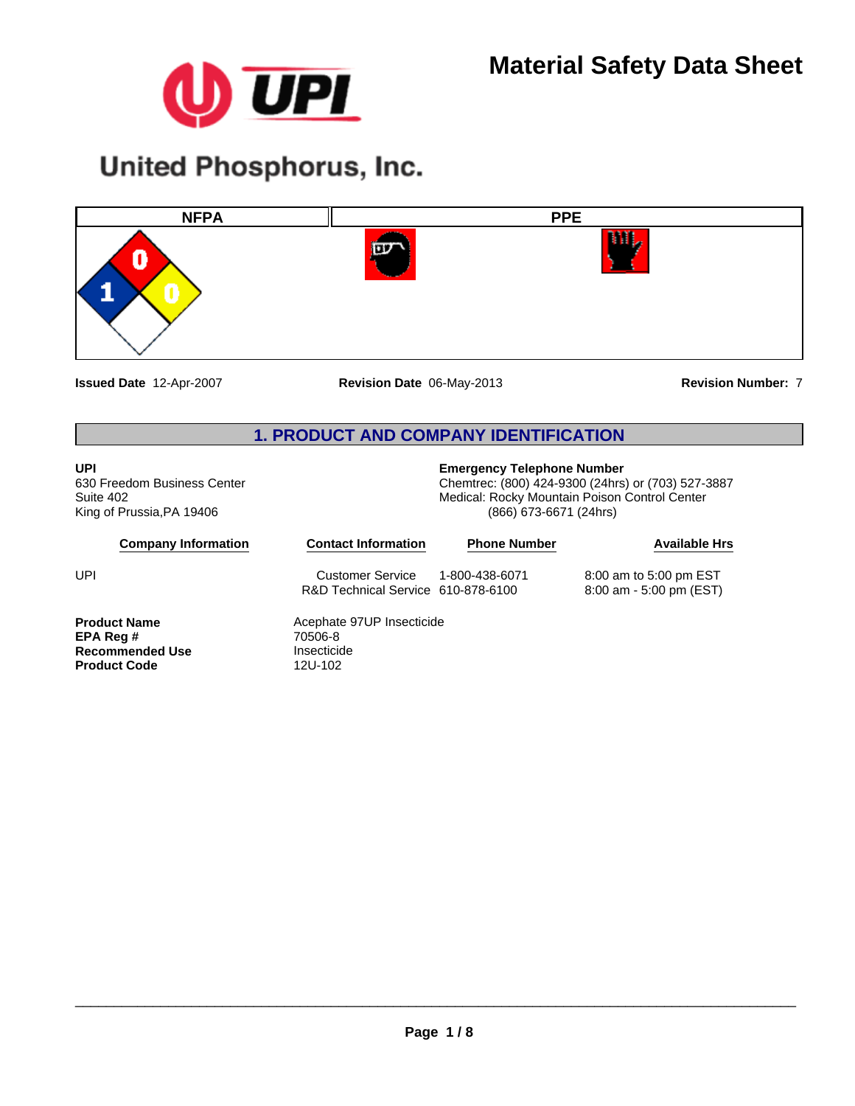

# **United Phosphorus, Inc.**



**Issued Date** 12-Apr-2007

**Revision Date** 06-May-2013 **Revision Number:** 7

## **1. PRODUCT AND COMPANY IDENTIFICATION**

#### **UPI**

**Product Code** 

630 Freedom Business Center Suite 402 King of Prussia,PA 19406

**Recommended Use** Insecticide<br> **Product Code** 12U-102

## **Emergency Telephone Number**

Chemtrec: (800) 424-9300 (24hrs) or (703) 527-3887 Medical: Rocky Mountain Poison Control Center (866) 673-6671 (24hrs)

| <b>Company Information</b> | <b>Contact Information</b>                             | <b>Phone Number</b> | <b>Available Hrs</b>                                |  |
|----------------------------|--------------------------------------------------------|---------------------|-----------------------------------------------------|--|
| UPI                        | Customer Service<br>R&D Technical Service 610-878-6100 | 1-800-438-6071      | 8:00 am to 5:00 pm EST<br>$8:00$ am - 5:00 pm (EST) |  |
| <b>Product Name</b>        | Acephate 97UP Insecticide                              |                     |                                                     |  |
| EPA Req #                  | 70506-8                                                |                     |                                                     |  |
| <b>Recommended Use</b>     | Insecticide                                            |                     |                                                     |  |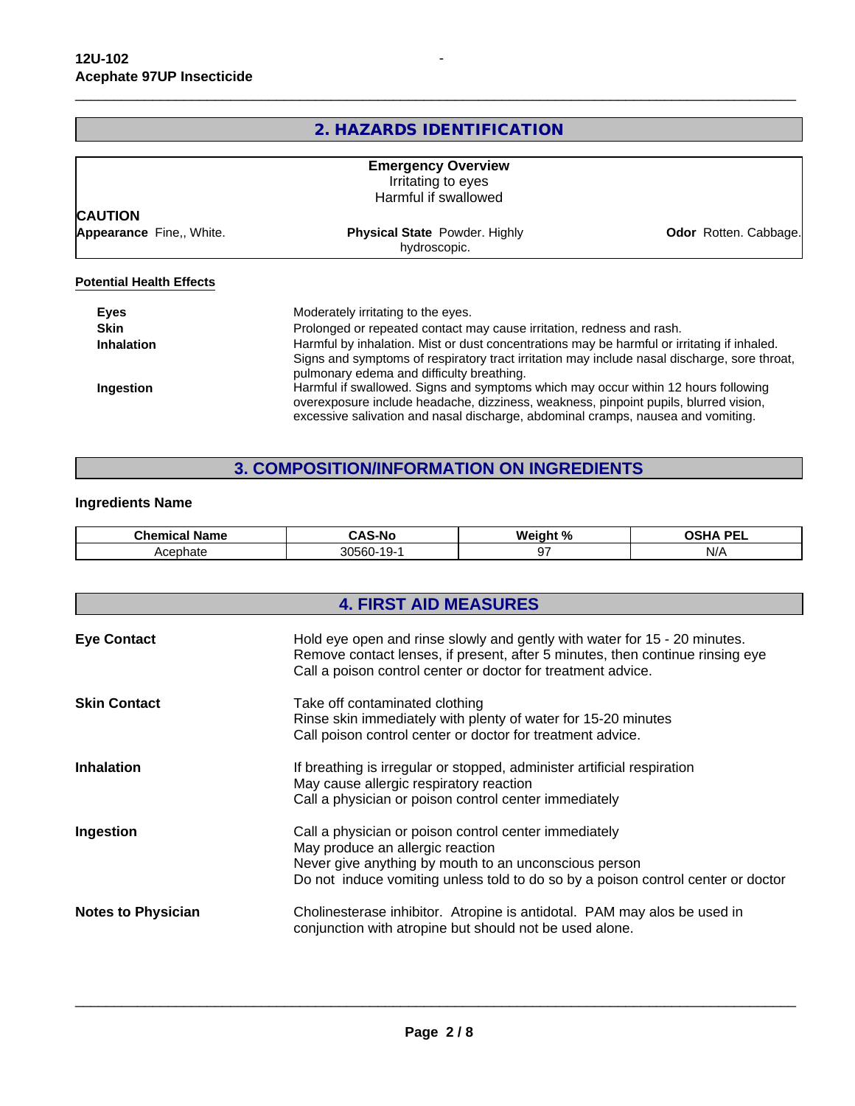## **2. HAZARDS IDENTIFICATION**

|                          | <b>Emergency Overview</b><br>Irritating to eyes                                                                                                                                                                                          |                       |
|--------------------------|------------------------------------------------------------------------------------------------------------------------------------------------------------------------------------------------------------------------------------------|-----------------------|
|                          | Harmful if swallowed                                                                                                                                                                                                                     |                       |
| <b>CAUTION</b>           |                                                                                                                                                                                                                                          |                       |
| Appearance Fine,, White. | <b>Physical State Powder. Highly</b><br>hydroscopic.                                                                                                                                                                                     | Odor Rotten. Cabbage. |
| <b>Eyes</b>              | Moderately irritating to the eyes.                                                                                                                                                                                                       |                       |
| <b>Skin</b>              | Prolonged or repeated contact may cause irritation, redness and rash.                                                                                                                                                                    |                       |
| <b>Inhalation</b>        | Harmful by inhalation. Mist or dust concentrations may be harmful or irritating if inhaled.<br>Signs and symptoms of respiratory tract irritation may include nasal discharge, sore throat,<br>pulmonary edema and difficulty breathing. |                       |
| Ingestion                | Harmful if swallowed. Signs and symptoms which may occur within 12 hours following<br>overexposure include headache, dizziness, weakness, pinpoint pupils, blurred vision,                                                               |                       |

## **3. COMPOSITION/INFORMATION ON INGREDIENTS**

excessive salivation and nasal discharge, abdominal cramps, nausea and vomiting.

#### **Ingredients Name**

| `ham.<br>Name<br>ынныса | S-No                              | <b>Weir</b><br>$\overline{\phantom{a}}$<br>ant<br>70 | <b>DEI</b><br>$\sim$ $\sim$ $\sim$ |
|-------------------------|-----------------------------------|------------------------------------------------------|------------------------------------|
| Acephate                | 30560<br>$\overline{\phantom{a}}$ |                                                      | NI/<br>,,,                         |

|                           | <b>4. FIRST AID MEASURES</b>                                                                                                                                                                                                           |  |  |  |
|---------------------------|----------------------------------------------------------------------------------------------------------------------------------------------------------------------------------------------------------------------------------------|--|--|--|
| <b>Eye Contact</b>        | Hold eye open and rinse slowly and gently with water for 15 - 20 minutes.<br>Remove contact lenses, if present, after 5 minutes, then continue rinsing eye<br>Call a poison control center or doctor for treatment advice.             |  |  |  |
| <b>Skin Contact</b>       | Take off contaminated clothing<br>Rinse skin immediately with plenty of water for 15-20 minutes<br>Call poison control center or doctor for treatment advice.                                                                          |  |  |  |
| <b>Inhalation</b>         | If breathing is irregular or stopped, administer artificial respiration<br>May cause allergic respiratory reaction<br>Call a physician or poison control center immediately                                                            |  |  |  |
| Ingestion                 | Call a physician or poison control center immediately<br>May produce an allergic reaction<br>Never give anything by mouth to an unconscious person<br>Do not induce vomiting unless told to do so by a poison control center or doctor |  |  |  |
| <b>Notes to Physician</b> | Cholinesterase inhibitor. Atropine is antidotal. PAM may alos be used in<br>conjunction with atropine but should not be used alone.                                                                                                    |  |  |  |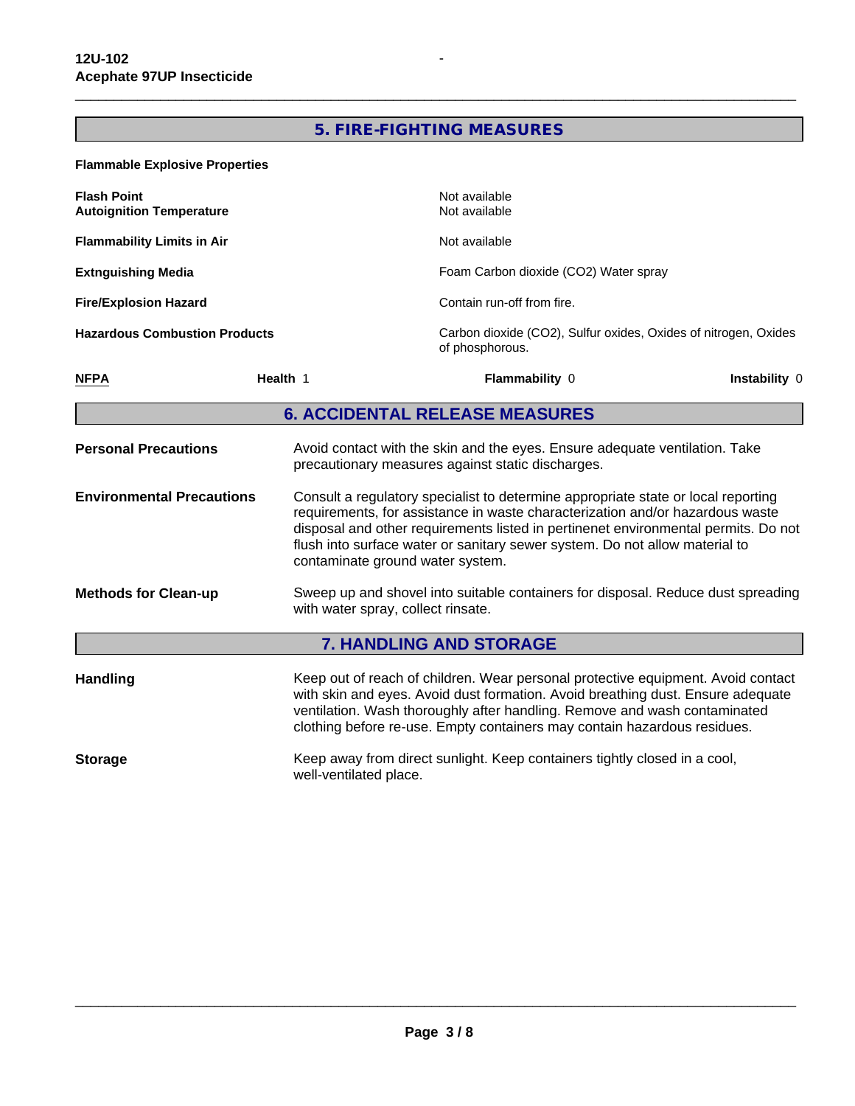#### **5. FIRE-FIGHTING MEASURES**

 $\overline{\phantom{a}}$  ,  $\overline{\phantom{a}}$  ,  $\overline{\phantom{a}}$  ,  $\overline{\phantom{a}}$  ,  $\overline{\phantom{a}}$  ,  $\overline{\phantom{a}}$  ,  $\overline{\phantom{a}}$  ,  $\overline{\phantom{a}}$  ,  $\overline{\phantom{a}}$  ,  $\overline{\phantom{a}}$  ,  $\overline{\phantom{a}}$  ,  $\overline{\phantom{a}}$  ,  $\overline{\phantom{a}}$  ,  $\overline{\phantom{a}}$  ,  $\overline{\phantom{a}}$  ,  $\overline{\phantom{a}}$ 

**Flammable Explosive Properties Hazardous Combustion Products** Carbon dioxide (CO2), Sulfur oxides, Oxides of nitrogen, Oxides of phosphorous. **Environmental Precautions** Consult a regulatory specialist to determine appropriate state or local reporting requirements, for assistance in waste characterization and/or hazardous waste disposal and other requirements listed in pertinenet environmental permits. Do not flush into surface water or sanitary sewer system. Do not allow material to contaminate ground water system. **Flammability Limits in Air** Not available **Flash Point Methods for Clean-up** Sweep up and shovel into suitable containers for disposal. Reduce dust spreading with water spray, collect rinsate. Not available<br>Not available **7. HANDLING AND STORAGE Extnguishing Media Handling** Keep out of reach of children. Wear personal protective equipment. Avoid contact with skin and eyes. Avoid dust formation. Avoid breathing dust. Ensure adequate ventilation. Wash thoroughly after handling. Remove and wash contaminated clothing before re-use. Empty containers may contain hazardous residues. Foam Carbon dioxide (CO2) Water spray **Autoignition Temperature Storage** Keep away from direct sunlight. Keep containers tightly closed in a cool, well-ventilated place. **Fire/Explosion Hazard 6. ACCIDENTAL RELEASE MEASURES** Contain run-off from fire. **Personal Precautions** Avoid contact with the skin and the eyes. Ensure adequate ventilation. Take precautionary measures against static discharges. **NFPA Health** 1 **Flammability** 0 **Instability** 0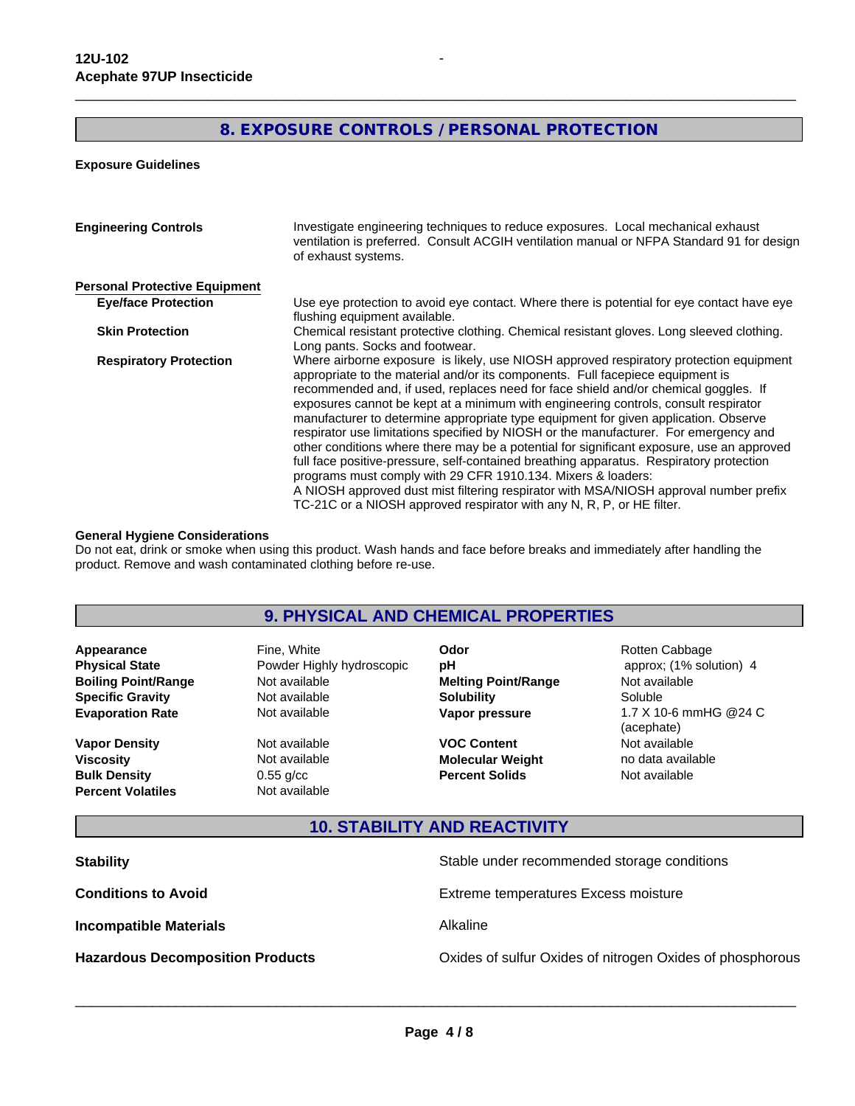## **8. EXPOSURE CONTROLS / PERSONAL PROTECTION**

 $\overline{\phantom{a}}$  ,  $\overline{\phantom{a}}$  ,  $\overline{\phantom{a}}$  ,  $\overline{\phantom{a}}$  ,  $\overline{\phantom{a}}$  ,  $\overline{\phantom{a}}$  ,  $\overline{\phantom{a}}$  ,  $\overline{\phantom{a}}$  ,  $\overline{\phantom{a}}$  ,  $\overline{\phantom{a}}$  ,  $\overline{\phantom{a}}$  ,  $\overline{\phantom{a}}$  ,  $\overline{\phantom{a}}$  ,  $\overline{\phantom{a}}$  ,  $\overline{\phantom{a}}$  ,  $\overline{\phantom{a}}$ 

**Exposure Guidelines**

| <b>Engineering Controls</b>          | Investigate engineering techniques to reduce exposures. Local mechanical exhaust<br>ventilation is preferred. Consult ACGIH ventilation manual or NFPA Standard 91 for design<br>of exhaust systems.                                                                                                                                                                                                                                                                                                                                                                                                                                                                                                                                                                                                                                                                                                                                                            |
|--------------------------------------|-----------------------------------------------------------------------------------------------------------------------------------------------------------------------------------------------------------------------------------------------------------------------------------------------------------------------------------------------------------------------------------------------------------------------------------------------------------------------------------------------------------------------------------------------------------------------------------------------------------------------------------------------------------------------------------------------------------------------------------------------------------------------------------------------------------------------------------------------------------------------------------------------------------------------------------------------------------------|
| <b>Personal Protective Equipment</b> |                                                                                                                                                                                                                                                                                                                                                                                                                                                                                                                                                                                                                                                                                                                                                                                                                                                                                                                                                                 |
| <b>Eye/face Protection</b>           | Use eye protection to avoid eye contact. Where there is potential for eye contact have eye<br>flushing equipment available.                                                                                                                                                                                                                                                                                                                                                                                                                                                                                                                                                                                                                                                                                                                                                                                                                                     |
| <b>Skin Protection</b>               | Chemical resistant protective clothing. Chemical resistant gloves. Long sleeved clothing.<br>Long pants. Socks and footwear.                                                                                                                                                                                                                                                                                                                                                                                                                                                                                                                                                                                                                                                                                                                                                                                                                                    |
| <b>Respiratory Protection</b>        | Where airborne exposure is likely, use NIOSH approved respiratory protection equipment<br>appropriate to the material and/or its components. Full facepiece equipment is<br>recommended and, if used, replaces need for face shield and/or chemical goggles. If<br>exposures cannot be kept at a minimum with engineering controls, consult respirator<br>manufacturer to determine appropriate type equipment for given application. Observe<br>respirator use limitations specified by NIOSH or the manufacturer. For emergency and<br>other conditions where there may be a potential for significant exposure, use an approved<br>full face positive-pressure, self-contained breathing apparatus. Respiratory protection<br>programs must comply with 29 CFR 1910.134. Mixers & loaders:<br>A NIOSH approved dust mist filtering respirator with MSA/NIOSH approval number prefix<br>TC-21C or a NIOSH approved respirator with any N, R, P, or HE filter. |

#### **General Hygiene Considerations**

Do not eat, drink or smoke when using this product. Wash hands and face before breaks and immediately after handling the product. Remove and wash contaminated clothing before re-use.

### **9. PHYSICAL AND CHEMICAL PROPERTIES**

**Specific Gravity** Not available **Appearance** Fine, White **Boiling Point/Range** Not available

**Percent Volatiles** Not available **Vapor Density** Not available **Viscosity** Not available **Bulk Density** 0.55 g/cc

**Evaporation Rate Not available Not available Not available Not available Not available Not available Not available Not available Not available Not available Not available Not available Not availa Physical State Powder Highly hydroscopic pH** 

**Solubility** Soluble **Odor pH Melting Point/Range**

**VOC Content** Not available **Molecular Weight** no data available **Percent Solids**

\_\_\_\_\_\_\_\_\_\_\_\_\_\_\_\_\_\_\_\_\_\_\_\_\_\_\_\_\_\_\_\_\_\_\_\_\_\_\_\_\_\_\_\_\_\_\_\_\_\_\_\_\_\_\_\_\_\_\_\_\_\_\_\_\_\_\_\_\_\_\_\_\_\_\_\_\_\_\_\_\_\_\_\_\_\_\_\_\_\_\_\_\_

Not available Rotten Cabbage **Vapor pressure** 1.7 X 10-6 mmHG @24 C (acephate) approx; (1% solution) 4 Not available

## **10. STABILITY AND REACTIVITY**

| <b>Stability</b>                        | Stable under recommended storage conditions               |
|-----------------------------------------|-----------------------------------------------------------|
| <b>Conditions to Avoid</b>              | Extreme temperatures Excess moisture                      |
| <b>Incompatible Materials</b>           | Alkaline                                                  |
| <b>Hazardous Decomposition Products</b> | Oxides of sulfur Oxides of nitrogen Oxides of phosphorous |
|                                         |                                                           |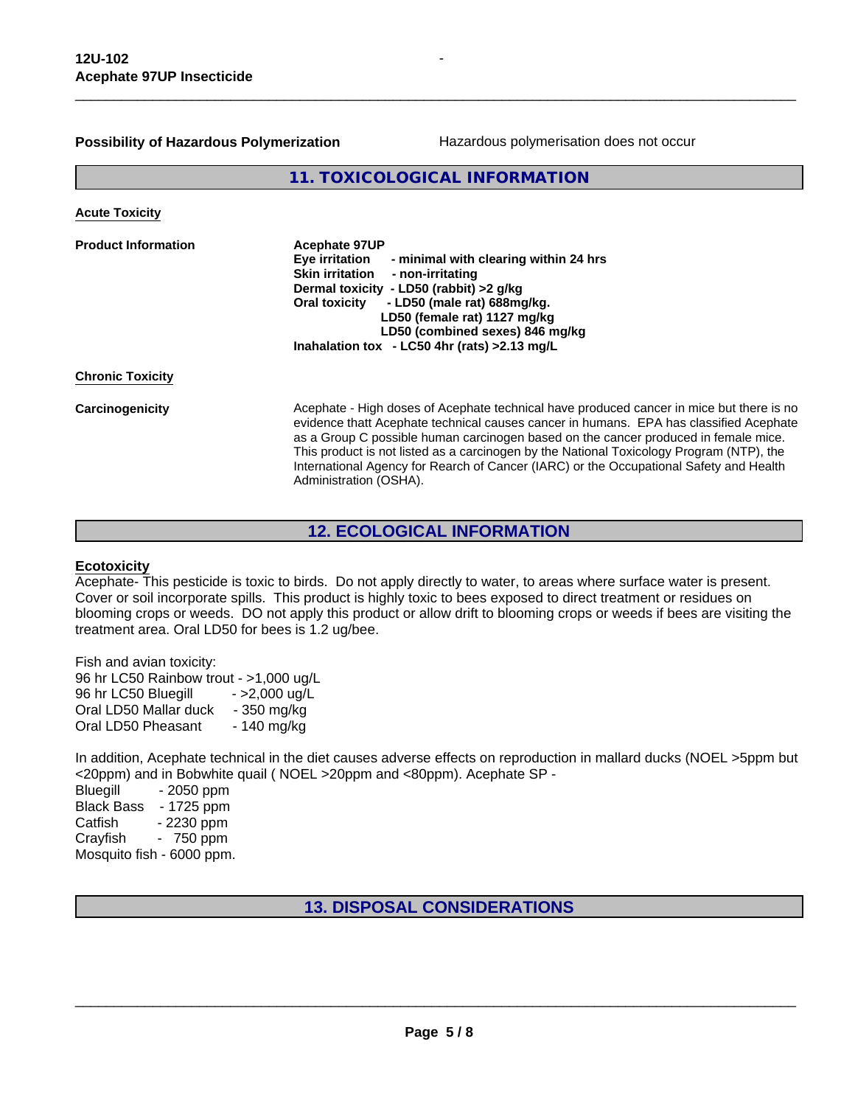#### **Possibility of Hazardous Polymerization**

Hazardous polymerisation does not occur

**11. TOXICOLOGICAL INFORMATION**

| <b>Acephate 97UP</b><br><b>Eye irritation</b><br>- minimal with clearing within 24 hrs<br>Skin irritation<br>- non-irritating<br>Dermal toxicity - LD50 (rabbit) >2 g/kg<br>- LD50 (male rat) 688mg/kg.<br><b>Oral toxicity</b><br>LD50 (female rat) 1127 mg/kg<br>LD50 (combined sexes) 846 mg/kg<br>Inahalation tox - LC50 4hr (rats) > 2.13 mg/L                                                                                                                                       |
|-------------------------------------------------------------------------------------------------------------------------------------------------------------------------------------------------------------------------------------------------------------------------------------------------------------------------------------------------------------------------------------------------------------------------------------------------------------------------------------------|
|                                                                                                                                                                                                                                                                                                                                                                                                                                                                                           |
| Acephate - High doses of Acephate technical have produced cancer in mice but there is no<br>evidence thatt Acephate technical causes cancer in humans. EPA has classified Acephate<br>as a Group C possible human carcinogen based on the cancer produced in female mice.<br>This product is not listed as a carcinogen by the National Toxicology Program (NTP), the<br>International Agency for Rearch of Cancer (IARC) or the Occupational Safety and Health<br>Administration (OSHA). |
|                                                                                                                                                                                                                                                                                                                                                                                                                                                                                           |

#### **12. ECOLOGICAL INFORMATION**

#### **Ecotoxicity**

Acephate- This pesticide is toxic to birds. Do not apply directly to water, to areas where surface water is present. Cover or soil incorporate spills. This product is highly toxic to bees exposed to direct treatment or residues on blooming crops or weeds. DO not apply this product or allow drift to blooming crops or weeds if bees are visiting the treatment area. Oral LD50 for bees is 1.2 ug/bee.

Fish and avian toxicity: 96 hr LC50 Rainbow trout - >1,000 ug/L 96 hr LC50 Bluegill - >2,000 ug/L Oral LD50 Mallar duck - 350 mg/kg Oral LD50 Pheasant - 140 mg/kg

In addition, Acephate technical in the diet causes adverse effects on reproduction in mallard ducks (NOEL >5ppm but <20ppm) and in Bobwhite quail ( NOEL >20ppm and <80ppm). Acephate SP -

Bluegill - 2050 ppm Black Bass - 1725 ppm Catfish - 2230 ppm Crayfish - 750 ppm Mosquito fish - 6000 ppm.

**13. DISPOSAL CONSIDERATIONS**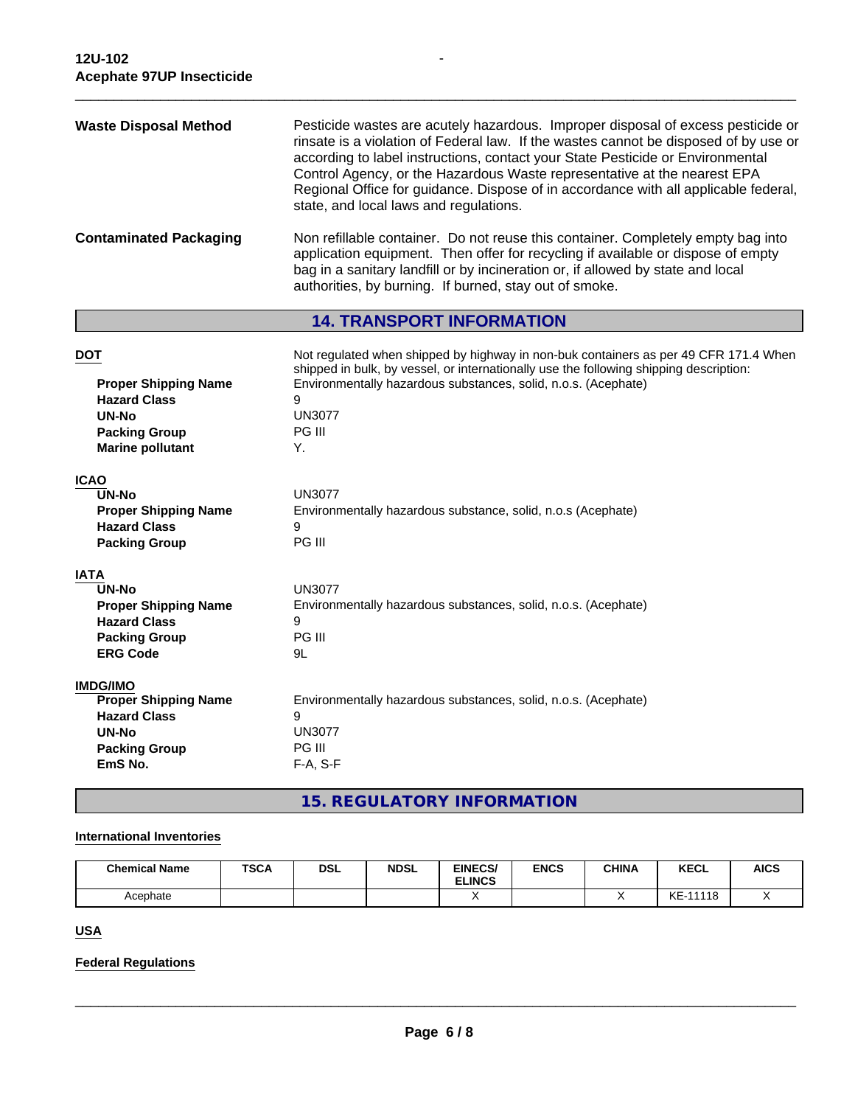| <b>Waste Disposal Method</b>  | Pesticide wastes are acutely hazardous. Improper disposal of excess pesticide or<br>rinsate is a violation of Federal law. If the wastes cannot be disposed of by use or<br>according to label instructions, contact your State Pesticide or Environmental<br>Control Agency, or the Hazardous Waste representative at the nearest EPA<br>Regional Office for guidance. Dispose of in accordance with all applicable federal,<br>state, and local laws and regulations. |
|-------------------------------|-------------------------------------------------------------------------------------------------------------------------------------------------------------------------------------------------------------------------------------------------------------------------------------------------------------------------------------------------------------------------------------------------------------------------------------------------------------------------|
| <b>Contaminated Packaging</b> | Non refillable container. Do not reuse this container. Completely empty bag into<br>application equipment. Then offer for recycling if available or dispose of empty<br>bag in a sanitary landfill or by incineration or, if allowed by state and local<br>authorities, by burning. If burned, stay out of smoke.                                                                                                                                                       |

 $\overline{\phantom{a}}$  ,  $\overline{\phantom{a}}$  ,  $\overline{\phantom{a}}$  ,  $\overline{\phantom{a}}$  ,  $\overline{\phantom{a}}$  ,  $\overline{\phantom{a}}$  ,  $\overline{\phantom{a}}$  ,  $\overline{\phantom{a}}$  ,  $\overline{\phantom{a}}$  ,  $\overline{\phantom{a}}$  ,  $\overline{\phantom{a}}$  ,  $\overline{\phantom{a}}$  ,  $\overline{\phantom{a}}$  ,  $\overline{\phantom{a}}$  ,  $\overline{\phantom{a}}$  ,  $\overline{\phantom{a}}$ 

**-** Construction

## **14. TRANSPORT INFORMATION**

| <b>DOT</b><br><b>Proper Shipping Name</b><br><b>Hazard Class</b><br>UN-No<br><b>Packing Group</b><br><b>Marine pollutant</b> | Not regulated when shipped by highway in non-buk containers as per 49 CFR 171.4 When<br>shipped in bulk, by vessel, or internationally use the following shipping description:<br>Environmentally hazardous substances, solid, n.o.s. (Acephate)<br>9<br><b>UN3077</b><br>PG III<br>Υ. |
|------------------------------------------------------------------------------------------------------------------------------|----------------------------------------------------------------------------------------------------------------------------------------------------------------------------------------------------------------------------------------------------------------------------------------|
| <b>ICAO</b>                                                                                                                  |                                                                                                                                                                                                                                                                                        |
| <b>UN-No</b>                                                                                                                 | <b>UN3077</b>                                                                                                                                                                                                                                                                          |
| <b>Proper Shipping Name</b><br><b>Hazard Class</b>                                                                           | Environmentally hazardous substance, solid, n.o.s (Acephate)<br>9                                                                                                                                                                                                                      |
| <b>Packing Group</b>                                                                                                         | PG III                                                                                                                                                                                                                                                                                 |
|                                                                                                                              |                                                                                                                                                                                                                                                                                        |
| <b>IATA</b>                                                                                                                  |                                                                                                                                                                                                                                                                                        |
| <b>UN-No</b>                                                                                                                 | <b>UN3077</b>                                                                                                                                                                                                                                                                          |
| <b>Proper Shipping Name</b>                                                                                                  | Environmentally hazardous substances, solid, n.o.s. (Acephate)                                                                                                                                                                                                                         |
| <b>Hazard Class</b>                                                                                                          | 9                                                                                                                                                                                                                                                                                      |
| <b>Packing Group</b>                                                                                                         | PG III                                                                                                                                                                                                                                                                                 |
| <b>ERG Code</b>                                                                                                              | 9L                                                                                                                                                                                                                                                                                     |
| <b>IMDG/IMO</b>                                                                                                              |                                                                                                                                                                                                                                                                                        |
| <b>Proper Shipping Name</b>                                                                                                  | Environmentally hazardous substances, solid, n.o.s. (Acephate)                                                                                                                                                                                                                         |
| <b>Hazard Class</b>                                                                                                          | 9                                                                                                                                                                                                                                                                                      |
| <b>UN-No</b>                                                                                                                 | <b>UN3077</b>                                                                                                                                                                                                                                                                          |
| <b>Packing Group</b>                                                                                                         | PG III                                                                                                                                                                                                                                                                                 |
| EmS No.                                                                                                                      | F-A, S-F                                                                                                                                                                                                                                                                               |
|                                                                                                                              |                                                                                                                                                                                                                                                                                        |

## **15. REGULATORY INFORMATION**

#### **International Inventories**

| <b>Chemical Name</b> | <b>TSCA</b> | <b>DSL</b> | <b>NDSL</b> | <b>EINECS/</b><br><b>ELINCS</b> | <b>ENCS</b> | <b>CHINA</b> | <b>KECL</b>  | <b>AICS</b> |
|----------------------|-------------|------------|-------------|---------------------------------|-------------|--------------|--------------|-------------|
| Acephate             |             |            |             |                                 |             |              | KE-<br>11118 |             |

**USA**

## **Federal Regulations**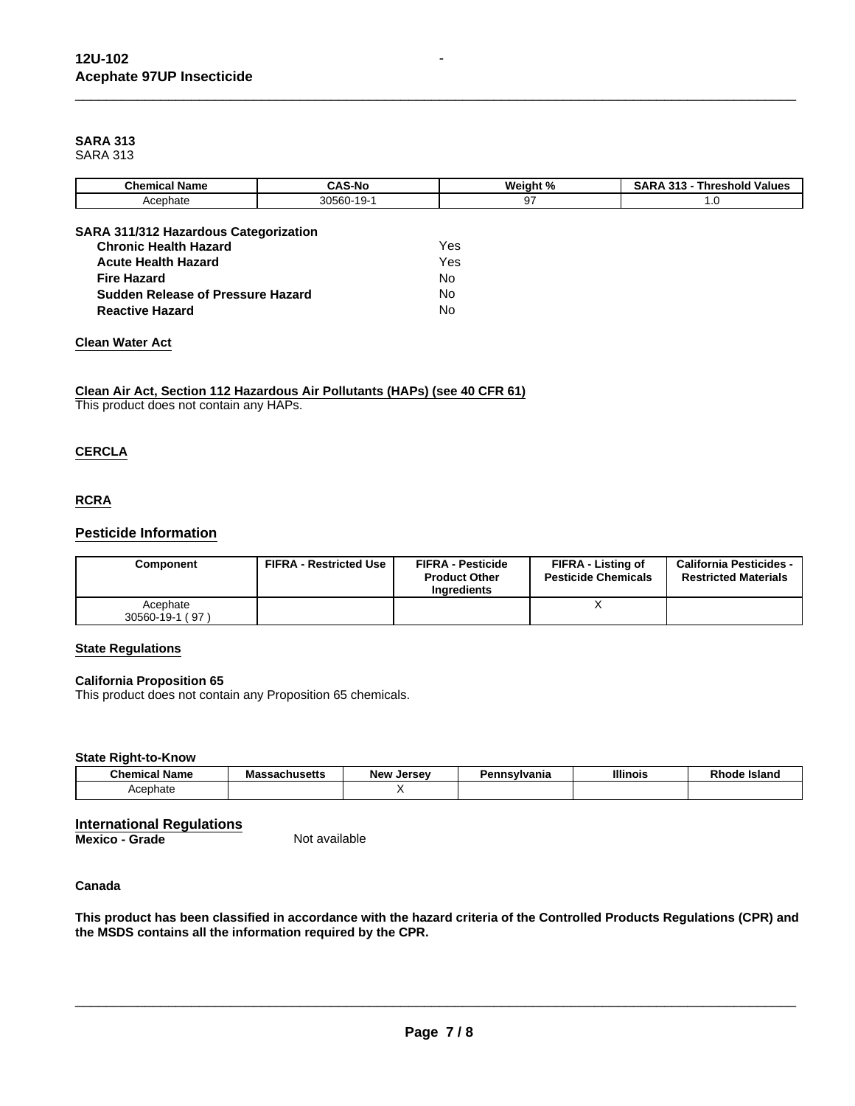## **SARA 313**

SARA 313

| <b>Chemical Name</b>                                                         | <b>CAS-No</b> | Weight % | <b>SARA 313 - Threshold Values</b> |
|------------------------------------------------------------------------------|---------------|----------|------------------------------------|
| Acephate                                                                     | 30560-19-1    | 97       | 1.0                                |
|                                                                              |               |          |                                    |
| <b>SARA 311/312 Hazardous Categorization</b><br><b>Chronic Health Hazard</b> |               | Yes      |                                    |
| <b>Acute Health Hazard</b>                                                   |               | Yes      |                                    |
| <b>Fire Hazard</b>                                                           |               | No       |                                    |
| Sudden Release of Pressure Hazard                                            |               | No       |                                    |
| <b>Reactive Hazard</b>                                                       |               | No       |                                    |
|                                                                              |               |          |                                    |

 $\overline{\phantom{a}}$  ,  $\overline{\phantom{a}}$  ,  $\overline{\phantom{a}}$  ,  $\overline{\phantom{a}}$  ,  $\overline{\phantom{a}}$  ,  $\overline{\phantom{a}}$  ,  $\overline{\phantom{a}}$  ,  $\overline{\phantom{a}}$  ,  $\overline{\phantom{a}}$  ,  $\overline{\phantom{a}}$  ,  $\overline{\phantom{a}}$  ,  $\overline{\phantom{a}}$  ,  $\overline{\phantom{a}}$  ,  $\overline{\phantom{a}}$  ,  $\overline{\phantom{a}}$  ,  $\overline{\phantom{a}}$ 

#### **Clean Water Act**

## **Clean Air Act, Section 112 Hazardous Air Pollutants (HAPs) (see 40 CFR 61)**

This product does not contain any HAPs.

#### **CERCLA**

#### **RCRA**

#### **Pesticide Information**

| Component                   | <b>FIFRA - Restricted Use</b> | <b>FIFRA - Pesticide</b><br><b>Product Other</b><br>Ingredients | FIFRA - Listing of<br><b>Pesticide Chemicals</b> | <b>California Pesticides -</b><br><b>Restricted Materials</b> |
|-----------------------------|-------------------------------|-----------------------------------------------------------------|--------------------------------------------------|---------------------------------------------------------------|
| Acephate<br>30560-19-1 (97) |                               |                                                                 |                                                  |                                                               |

#### **State Regulations**

#### **California Proposition 65**

This product does not contain any Proposition 65 chemicals.

#### **State Right-to-Know**

| <b>Chemical Name</b> | achucatto<br>aunuseus | Jersev<br><b>New</b> | 'ennsvlvania | <b>Illinois</b> | nц<br><b>Islanc</b><br>Rnoae |
|----------------------|-----------------------|----------------------|--------------|-----------------|------------------------------|
| Acephate             |                       |                      |              |                 |                              |

## **International Regulations**

**Mexico - Grade** 

#### **Canada**

**This product has been classified in accordance with the hazard criteria of the Controlled Products Regulations (CPR) and the MSDS contains all the information required by the CPR.**